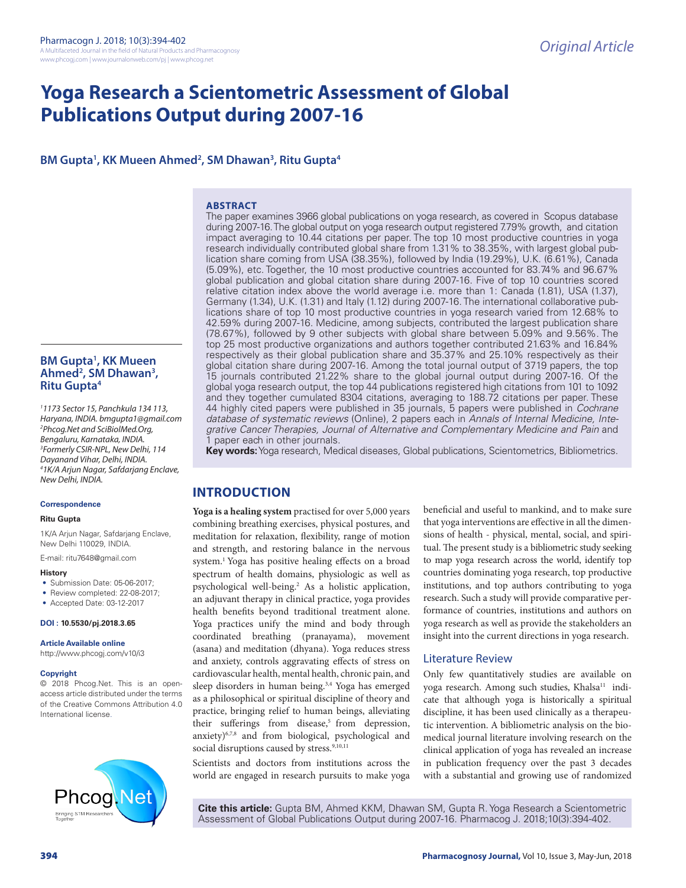# **Yoga Research a Scientometric Assessment of Global Publications Output during 2007-16**

# BM Gupta<sup>1</sup>, KK Mueen Ahmed<sup>2</sup>, SM Dhawan<sup>3</sup>, Ritu Gupta<sup>4</sup>

## **ABSTRACT**

The paper examines 3966 global publications on yoga research, as covered in Scopus database during 2007-16. The global output on yoga research output registered 7.79% growth, and citation impact averaging to 10.44 citations per paper. The top 10 most productive countries in yoga research individually contributed global share from 1.31% to 38.35%, with largest global publication share coming from USA (38.35%), followed by India (19.29%), U.K. (6.61%), Canada (5.09%), etc. Together, the 10 most productive countries accounted for 83.74% and 96.67% global publication and global citation share during 2007-16. Five of top 10 countries scored relative citation index above the world average i.e. more than 1: Canada (1.81), USA (1.37), Germany (1.34), U.K. (1.31) and Italy (1.12) during 2007-16. The international collaborative publications share of top 10 most productive countries in yoga research varied from 12.68% to 42.59% during 2007-16. Medicine, among subjects, contributed the largest publication share (78.67%), followed by 9 other subjects with global share between 5.09% and 9.56%. The top 25 most productive organizations and authors together contributed 21.63% and 16.84% respectively as their global publication share and 35.37% and 25.10% respectively as their global citation share during 2007-16. Among the total journal output of 3719 papers, the top 15 journals contributed 21.22% share to the global journal output during 2007-16. Of the global yoga research output, the top 44 publications registered high citations from 101 to 1092 and they together cumulated 8304 citations, averaging to 188.72 citations per paper. These 44 highly cited papers were published in 35 journals, 5 papers were published in *Cochrane database of systematic reviews* (Online), 2 papers each in *Annals of Internal Medicine, Integrative Cancer Therapies, Journal of Alternative and Complementary Medicine and Pain* and paper each in other journals.

**Key words:** Yoga research, Medical diseases, Global publications, Scientometrics, Bibliometrics.

# **INTRODUCTION**

**Yoga is a healing system** practised for over 5,000 years combining breathing exercises, physical postures, and meditation for relaxation, flexibility, range of motion and strength, and restoring balance in the nervous system.1 Yoga has positive healing effects on a broad spectrum of health domains, physiologic as well as psychological well-being.2 As a holistic application, an adjuvant therapy in clinical practice, yoga provides health benefits beyond traditional treatment alone. Yoga practices unify the mind and body through coordinated breathing (pranayama), movement (asana) and meditation (dhyana). Yoga reduces stress and anxiety, controls aggravating effects of stress on cardiovascular health, mental health, chronic pain, and sleep disorders in human being.3,4 Yoga has emerged as a philosophical or spiritual discipline of theory and practice, bringing relief to human beings, alleviating their sufferings from disease,<sup>5</sup> from depression, anxiety)<sup>6,7,8</sup> and from biological, psychological and social disruptions caused by stress.<sup>9,10,11</sup>

Scientists and doctors from institutions across the world are engaged in research pursuits to make yoga

beneficial and useful to mankind, and to make sure that yoga interventions are effective in all the dimensions of health - physical, mental, social, and spiritual. The present study is a bibliometric study seeking to map yoga research across the world, identify top countries dominating yoga research, top productive institutions, and top authors contributing to yoga research. Such a study will provide comparative performance of countries, institutions and authors on yoga research as well as provide the stakeholders an insight into the current directions in yoga research.

## Literature Review

Only few quantitatively studies are available on yoga research. Among such studies, Khalsa<sup>11</sup> indicate that although yoga is historically a spiritual discipline, it has been used clinically as a therapeutic intervention. A bibliometric analysis on the biomedical journal literature involving research on the clinical application of yoga has revealed an increase in publication frequency over the past 3 decades with a substantial and growing use of randomized

**Cite this article:** Gupta BM, Ahmed KKM, Dhawan SM, Gupta R. Yoga Research a Scientometric Assessment of Global Publications Output during 2007-16. Pharmacog J. 2018;10(3):394-402.

# **BM Gupta1 , KK Mueen Ahmed2 , SM Dhawan3 , Ritu Gupta4**

*1 1173 Sector 15, Panchkula 134 113, Haryana, INDIA. bmgupta1@gmail.com 2 Phcog.Net and SciBiolMed.Org, Bengaluru, Karnataka, INDIA. 3 Formerly CSIR-NPL, New Delhi, 114 Dayanand Vihar, Delhi, INDIA. 4 1K/A Arjun Nagar, Safdarjang Enclave, New Delhi, INDIA.* 

## **Correspondence**

#### **Ritu Gupta**

1K/A Arjun Nagar, Safdarjang Enclave, New Delhi 110029, INDIA.

E-mail: ritu7648@gmail.com

## **History**

• Submission Date: 05-06-2017;

- Review completed: 22-08-2017; • Accepted Date: 03-12-2017
- 

**DOI : 10.5530/pj.2018.3.65**

## **Article Available online**

http://www.phcogj.com/v10/i3

#### **Copyright**

© 2018 Phcog.Net. This is an openaccess article distributed under the terms of the Creative Commons Attribution 4.0 International license.

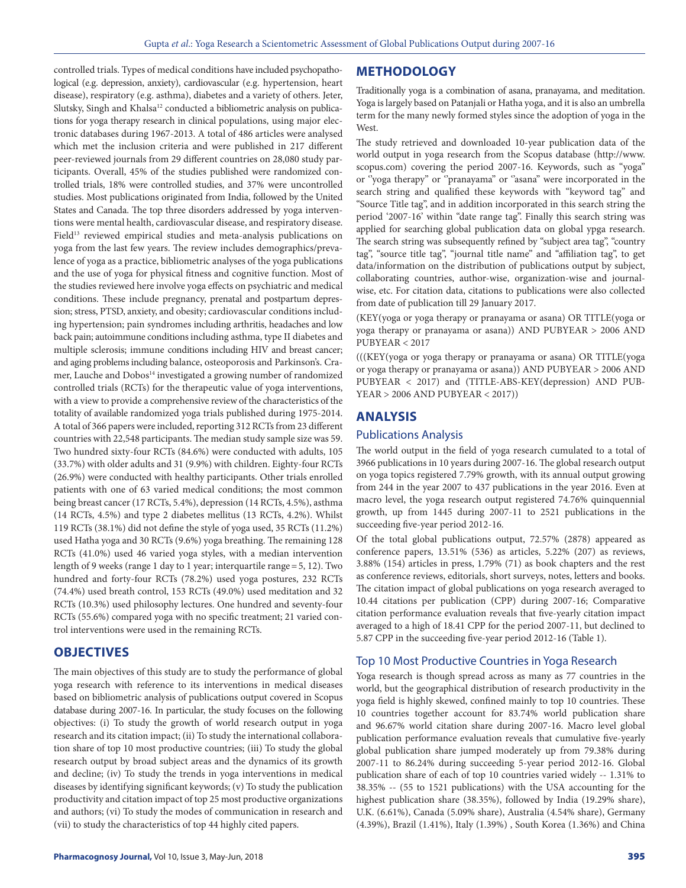controlled trials. Types of medical conditions have included psychopathological (e.g. depression, anxiety), cardiovascular (e.g. hypertension, heart disease), respiratory (e.g. asthma), diabetes and a variety of others. Jeter, Slutsky, Singh and Khalsa<sup>12</sup> conducted a bibliometric analysis on publications for yoga therapy research in clinical populations, using major electronic databases during 1967-2013. A total of 486 articles were analysed which met the inclusion criteria and were published in 217 different peer-reviewed journals from 29 different countries on 28,080 study participants. Overall, 45% of the studies published were randomized controlled trials, 18% were controlled studies, and 37% were uncontrolled studies. Most publications originated from India, followed by the United States and Canada. The top three disorders addressed by yoga interventions were mental health, cardiovascular disease, and respiratory disease. Field<sup>13</sup> reviewed empirical studies and meta-analysis publications on yoga from the last few years. The review includes demographics/prevalence of yoga as a practice, bibliometric analyses of the yoga publications and the use of yoga for physical fitness and cognitive function. Most of the studies reviewed here involve yoga effects on psychiatric and medical conditions. These include pregnancy, prenatal and postpartum depression; stress, PTSD, anxiety, and obesity; cardiovascular conditions including hypertension; pain syndromes including arthritis, headaches and low back pain; autoimmune conditions including asthma, type II diabetes and multiple sclerosis; immune conditions including HIV and breast cancer; and aging problems including balance, osteoporosis and Parkinson's. Cramer, Lauche and Dobos<sup>14</sup> investigated a growing number of randomized controlled trials (RCTs) for the therapeutic value of yoga interventions, with a view to provide a comprehensive review of the characteristics of the totality of available randomized yoga trials published during 1975-2014. A total of 366 papers were included, reporting 312 RCTs from 23 different countries with 22,548 participants. The median study sample size was 59. Two hundred sixty-four RCTs (84.6%) were conducted with adults, 105 (33.7%) with older adults and 31 (9.9%) with children. Eighty-four RCTs (26.9%) were conducted with healthy participants. Other trials enrolled patients with one of 63 varied medical conditions; the most common being breast cancer (17 RCTs, 5.4%), depression (14 RCTs, 4.5%), asthma (14 RCTs, 4.5%) and type 2 diabetes mellitus (13 RCTs, 4.2%). Whilst 119 RCTs (38.1%) did not define the style of yoga used, 35 RCTs (11.2%) used Hatha yoga and 30 RCTs (9.6%) yoga breathing. The remaining 128 RCTs (41.0%) used 46 varied yoga styles, with a median intervention length of 9 weeks (range 1 day to 1 year; interquartile range=5, 12). Two hundred and forty-four RCTs (78.2%) used yoga postures, 232 RCTs (74.4%) used breath control, 153 RCTs (49.0%) used meditation and 32 RCTs (10.3%) used philosophy lectures. One hundred and seventy-four RCTs (55.6%) compared yoga with no specific treatment; 21 varied control interventions were used in the remaining RCTs.

# **OBJECTIVES**

The main objectives of this study are to study the performance of global yoga research with reference to its interventions in medical diseases based on bibliometric analysis of publications output covered in Scopus database during 2007-16. In particular, the study focuses on the following objectives: (i) To study the growth of world research output in yoga research and its citation impact; (ii) To study the international collaboration share of top 10 most productive countries; (iii) To study the global research output by broad subject areas and the dynamics of its growth and decline; (iv) To study the trends in yoga interventions in medical diseases by identifying significant keywords; (v) To study the publication productivity and citation impact of top 25 most productive organizations and authors; (vi) To study the modes of communication in research and (vii) to study the characteristics of top 44 highly cited papers.

# **METHODOLOGY**

Traditionally yoga is a combination of asana, pranayama, and meditation. Yoga is largely based on Patanjali or Hatha yoga, and it is also an umbrella term for the many newly formed styles since the adoption of yoga in the West.

The study retrieved and downloaded 10-year publication data of the world output in yoga research from the Scopus database (http://www. scopus.com) covering the period 2007-16. Keywords, such as "yoga'' or 'yoga therapy" or ''pranayama" or ''asana" were incorporated in the search string and qualified these keywords with "keyword tag" and "Source Title tag", and in addition incorporated in this search string the period '2007-16' within "date range tag". Finally this search string was applied for searching global publication data on global ypga research. The search string was subsequently refined by "subject area tag", "country tag", "source title tag", "journal title name" and "affiliation tag", to get data/information on the distribution of publications output by subject, collaborating countries, author-wise, organization-wise and journalwise, etc. For citation data, citations to publications were also collected from date of publication till 29 January 2017.

(KEY(yoga or yoga therapy or pranayama or asana) OR TITLE(yoga or yoga therapy or pranayama or asana)) AND PUBYEAR > 2006 AND PUBYEAR < 2017

(((KEY(yoga or yoga therapy or pranayama or asana) OR TITLE(yoga or yoga therapy or pranayama or asana)) AND PUBYEAR > 2006 AND PUBYEAR < 2017) and (TITLE-ABS-KEY(depression) AND PUB-YEAR > 2006 AND PUBYEAR < 2017))

## **ANALYSIS**

## Publications Analysis

The world output in the field of yoga research cumulated to a total of 3966 publications in 10 years during 2007-16. The global research output on yoga topics registered 7.79% growth, with its annual output growing from 244 in the year 2007 to 437 publications in the year 2016. Even at macro level, the yoga research output registered 74.76% quinquennial growth, up from 1445 during 2007-11 to 2521 publications in the succeeding five-year period 2012-16.

Of the total global publications output, 72.57% (2878) appeared as conference papers, 13.51% (536) as articles, 5.22% (207) as reviews, 3.88% (154) articles in press, 1.79% (71) as book chapters and the rest as conference reviews, editorials, short surveys, notes, letters and books. The citation impact of global publications on yoga research averaged to 10.44 citations per publication (CPP) during 2007-16; Comparative citation performance evaluation reveals that five-yearly citation impact averaged to a high of 18.41 CPP for the period 2007-11, but declined to 5.87 CPP in the succeeding five-year period 2012-16 (Table 1).

## Top 10 Most Productive Countries in Yoga Research

Yoga research is though spread across as many as 77 countries in the world, but the geographical distribution of research productivity in the yoga field is highly skewed, confined mainly to top 10 countries. These 10 countries together account for 83.74% world publication share and 96.67% world citation share during 2007-16. Macro level global publication performance evaluation reveals that cumulative five-yearly global publication share jumped moderately up from 79.38% during 2007-11 to 86.24% during succeeding 5-year period 2012-16. Global publication share of each of top 10 countries varied widely -- 1.31% to 38.35% -- (55 to 1521 publications) with the USA accounting for the highest publication share (38.35%), followed by India (19.29% share), U.K. (6.61%), Canada (5.09% share), Australia (4.54% share), Germany (4.39%), Brazil (1.41%), Italy (1.39%) , South Korea (1.36%) and China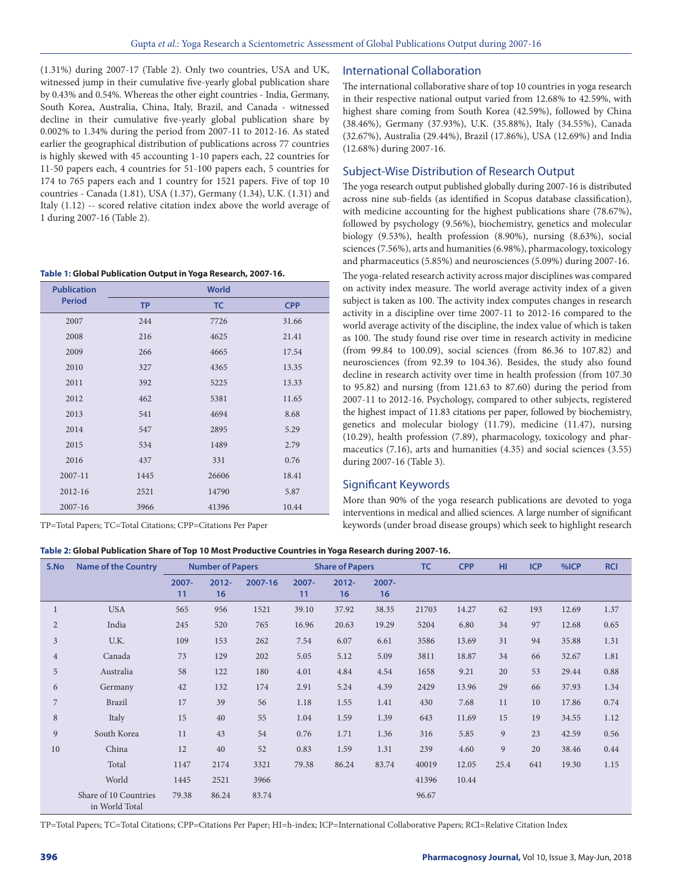(1.31%) during 2007-17 (Table 2). Only two countries, USA and UK, witnessed jump in their cumulative five-yearly global publication share by 0.43% and 0.54%. Whereas the other eight countries - India, Germany, South Korea, Australia, China, Italy, Brazil, and Canada - witnessed decline in their cumulative five-yearly global publication share by 0.002% to 1.34% during the period from 2007-11 to 2012-16. As stated earlier the geographical distribution of publications across 77 countries is highly skewed with 45 accounting 1-10 papers each, 22 countries for 11-50 papers each, 4 countries for 51-100 papers each, 5 countries for 174 to 765 papers each and 1 country for 1521 papers. Five of top 10 countries - Canada (1.81), USA (1.37), Germany (1.34), U.K. (1.31) and Italy (1.12) -- scored relative citation index above the world average of 1 during 2007-16 (Table 2).

## **Table 1: Global Publication Output in Yoga Research, 2007-16.**

| <b>Publication</b> |           | <b>World</b> |            |
|--------------------|-----------|--------------|------------|
| <b>Period</b>      | <b>TP</b> | <b>TC</b>    | <b>CPP</b> |
| 2007               | 244       | 7726         | 31.66      |
| 2008               | 216       | 4625         | 21.41      |
| 2009               | 266       | 4665         | 17.54      |
| 2010               | 327       | 4365         | 13.35      |
| 2011               | 392       | 5225         | 13.33      |
| 2012               | 462       | 5381         | 11.65      |
| 2013               | 541       | 4694         | 8.68       |
| 2014               | 547       | 2895         | 5.29       |
| 2015               | 534       | 1489         | 2.79       |
| 2016               | 437       | 331          | 0.76       |
| 2007-11            | 1445      | 26606        | 18.41      |
| 2012-16            | 2521      | 14790        | 5.87       |
| 2007-16            | 3966      | 41396        | 10.44      |

TP=Total Papers; TC=Total Citations; CPP=Citations Per Paper

## **Table 2: Global Publication Share of Top 10 Most Productive Countries in Yoga Research during 2007-16.**

## International Collaboration

The international collaborative share of top 10 countries in yoga research in their respective national output varied from 12.68% to 42.59%, with highest share coming from South Korea (42.59%), followed by China (38.46%), Germany (37.93%), U.K. (35.88%), Italy (34.55%), Canada (32.67%), Australia (29.44%), Brazil (17.86%), USA (12.69%) and India (12.68%) during 2007-16.

## Subject-Wise Distribution of Research Output

The yoga research output published globally during 2007-16 is distributed across nine sub-fields (as identified in Scopus database classification), with medicine accounting for the highest publications share (78.67%), followed by psychology (9.56%), biochemistry, genetics and molecular biology (9.53%), health profession (8.90%), nursing (8.63%), social sciences (7.56%), arts and humanities (6.98%), pharmacology, toxicology and pharmaceutics (5.85%) and neurosciences (5.09%) during 2007-16.

The yoga-related research activity across major disciplines was compared on activity index measure. The world average activity index of a given subject is taken as 100. The activity index computes changes in research activity in a discipline over time 2007-11 to 2012-16 compared to the world average activity of the discipline, the index value of which is taken as 100. The study found rise over time in research activity in medicine (from 99.84 to 100.09), social sciences (from 86.36 to 107.82) and neurosciences (from 92.39 to 104.36). Besides, the study also found decline in research activity over time in health profession (from 107.30 to 95.82) and nursing (from 121.63 to 87.60) during the period from 2007-11 to 2012-16. Psychology, compared to other subjects, registered the highest impact of 11.83 citations per paper, followed by biochemistry, genetics and molecular biology (11.79), medicine (11.47), nursing (10.29), health profession (7.89), pharmacology, toxicology and pharmaceutics (7.16), arts and humanities (4.35) and social sciences (3.55) during 2007-16 (Table 3).

# Significant Keywords

More than 90% of the yoga research publications are devoted to yoga interventions in medical and allied sciences. A large number of significant keywords (under broad disease groups) which seek to highlight research

| S.No           | <b>Name of the Country</b>              |                | <b>Number of Papers</b> |         |                | <b>Share of Papers</b> |                | <b>TC</b> | <b>CPP</b> | HI.  | <b>ICP</b> | %ICP  | <b>RCI</b> |
|----------------|-----------------------------------------|----------------|-------------------------|---------|----------------|------------------------|----------------|-----------|------------|------|------------|-------|------------|
|                |                                         | $2007 -$<br>11 | $2012 -$<br>16          | 2007-16 | $2007 -$<br>11 | $2012 -$<br>16         | $2007 -$<br>16 |           |            |      |            |       |            |
|                | <b>USA</b>                              | 565            | 956                     | 1521    | 39.10          | 37.92                  | 38.35          | 21703     | 14.27      | 62   | 193        | 12.69 | 1.37       |
| $\overline{2}$ | India                                   | 245            | 520                     | 765     | 16.96          | 20.63                  | 19.29          | 5204      | 6.80       | 34   | 97         | 12.68 | 0.65       |
| 3              | U.K.                                    | 109            | 153                     | 262     | 7.54           | 6.07                   | 6.61           | 3586      | 13.69      | 31   | 94         | 35.88 | 1.31       |
| $\overline{4}$ | Canada                                  | 73             | 129                     | 202     | 5.05           | 5.12                   | 5.09           | 3811      | 18.87      | 34   | 66         | 32.67 | 1.81       |
| 5              | Australia                               | 58             | 122                     | 180     | 4.01           | 4.84                   | 4.54           | 1658      | 9.21       | 20   | 53         | 29.44 | 0.88       |
| 6              | Germany                                 | 42             | 132                     | 174     | 2.91           | 5.24                   | 4.39           | 2429      | 13.96      | 29   | 66         | 37.93 | 1.34       |
| 7              | <b>Brazil</b>                           | 17             | 39                      | 56      | 1.18           | 1.55                   | 1.41           | 430       | 7.68       | 11   | 10         | 17.86 | 0.74       |
| 8              | Italy                                   | 15             | 40                      | 55      | 1.04           | 1.59                   | 1.39           | 643       | 11.69      | 15   | 19         | 34.55 | 1.12       |
| 9              | South Korea                             | 11             | 43                      | 54      | 0.76           | 1.71                   | 1.36           | 316       | 5.85       | 9    | 23         | 42.59 | 0.56       |
| 10             | China                                   | 12             | 40                      | 52      | 0.83           | 1.59                   | 1.31           | 239       | 4.60       | 9    | 20         | 38.46 | 0.44       |
|                | Total                                   | 1147           | 2174                    | 3321    | 79.38          | 86.24                  | 83.74          | 40019     | 12.05      | 25.4 | 641        | 19.30 | 1.15       |
|                | World                                   | 1445           | 2521                    | 3966    |                |                        |                | 41396     | 10.44      |      |            |       |            |
|                | Share of 10 Countries<br>in World Total | 79.38          | 86.24                   | 83.74   |                |                        |                | 96.67     |            |      |            |       |            |

TP=Total Papers; TC=Total Citations; CPP=Citations Per Paper; HI=h-index; ICP=International Collaborative Papers; RCI=Relative Citation Index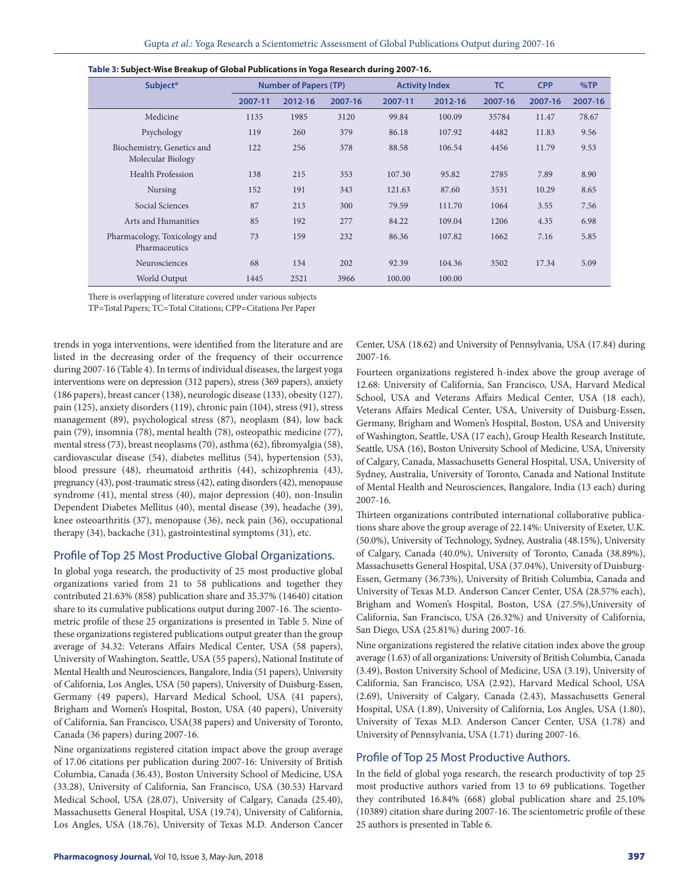| Subject*                                        |         | <b>Number of Papers (TP)</b> |         | <b>Activity Index</b> |         | <b>TC</b> | <b>CPP</b> | %TP     |
|-------------------------------------------------|---------|------------------------------|---------|-----------------------|---------|-----------|------------|---------|
|                                                 | 2007-11 | 2012-16                      | 2007-16 | 2007-11               | 2012-16 | 2007-16   | 2007-16    | 2007-16 |
| Medicine                                        | 1135    | 1985                         | 3120    | 99.84                 | 100.09  | 35784     | 11.47      | 78.67   |
| Psychology                                      | 119     | 260                          | 379     | 86.18                 | 107.92  | 4482      | 11.83      | 9.56    |
| Biochemistry, Genetics and<br>Molecular Biology | 122     | 256                          | 378     | 88.58                 | 106.54  | 4456      | 11.79      | 9.53    |
| Health Profession                               | 138     | 215                          | 353     | 107.30                | 95.82   | 2785      | 7.89       | 8.90    |
| Nursing                                         | 152     | 191                          | 343     | 121.63                | 87.60   | 3531      | 10.29      | 8.65    |
| Social Sciences                                 | 87      | 213                          | 300     | 79.59                 | 111.70  | 1064      | 3.55       | 7.56    |
| Arts and Humanities                             | 85      | 192                          | 277     | 84.22                 | 109.04  | 1206      | 4.35       | 6.98    |
| Pharmacology, Toxicology and<br>Pharmaceutics   | 73      | 159                          | 232     | 86.36                 | 107.82  | 1662      | 7.16       | 5.85    |
| Neurosciences                                   | 68      | 134                          | 202     | 92.39                 | 104.36  | 3502      | 17.34      | 5.09    |
| World Output                                    | 1445    | 2521                         | 3966    | 100.00                | 100.00  |           |            |         |

|  |  | Table 3: Subject-Wise Breakup of Global Publications in Yoga Research during 2007-16. |
|--|--|---------------------------------------------------------------------------------------|
|  |  |                                                                                       |

There is overlapping of literature covered under various subjects

TP=Total Papers; TC=Total Citations; CPP=Citations Per Paper

trends in yoga interventions, were identified from the literature and are listed in the decreasing order of the frequency of their occurrence during 2007-16 (Table 4). In terms of individual diseases, the largest yoga interventions were on depression (312 papers), stress (369 papers), anxiety (186 papers), breast cancer (138), neurologic disease (133), obesity (127), pain (125), anxiety disorders (119), chronic pain (104), stress (91), stress management (89), psychological stress (87), neoplasm (84), low back pain (79), insomnia (78), mental health (78), osteopathic medicine (77), mental stress (73), breast neoplasms (70), asthma (62), fibromyalgia (58), cardiovascular disease (54), diabetes mellitus (54), hypertension (53), blood pressure (48), rheumatoid arthritis (44), schizophrenia (43), pregnancy (43), post-traumatic stress (42), eating disorders (42), menopause syndrome (41), mental stress (40), major depression (40), non-Insulin Dependent Diabetes Mellitus (40), mental disease (39), headache (39), knee osteoarthritis (37), menopause (36), neck pain (36), occupational therapy (34), backache (31), gastrointestinal symptoms (31), etc.

## Profile of Top 25 Most Productive Global Organizations.

In global yoga research, the productivity of 25 most productive global organizations varied from 21 to 58 publications and together they contributed 21.63% (858) publication share and 35.37% (14640) citation share to its cumulative publications output during 2007-16. The scientometric profile of these 25 organizations is presented in Table 5. Nine of these organizations registered publications output greater than the group average of 34.32: Veterans Affairs Medical Center, USA (58 papers), University of Washington, Seattle, USA (55 papers), National Institute of Mental Health and Neurosciences, Bangalore, India (51 papers), University of California, Los Angles, USA (50 papers), University of Duisburg-Essen, Germany (49 papers), Harvard Medical School, USA (41 papers), Brigham and Women's Hospital, Boston, USA (40 papers), University of California, San Francisco, USA(38 papers) and University of Toronto, Canada (36 papers) during 2007-16.

Nine organizations registered citation impact above the group average of 17.06 citations per publication during 2007-16: University of British Columbia, Canada (36.43), Boston University School of Medicine, USA (33.28), University of California, San Francisco, USA (30.53) Harvard Medical School, USA (28.07), University of Calgary, Canada (25.40), Massachusetts General Hospital, USA (19.74), University of California, Los Angles, USA (18.76), University of Texas M.D. Anderson Cancer Center, USA (18.62) and University of Pennsylvania, USA (17.84) during 2007-16.

Fourteen organizations registered h-index above the group average of 12.68: University of California, San Francisco, USA, Harvard Medical School, USA and Veterans Affairs Medical Center, USA (18 each), Veterans Affairs Medical Center, USA, University of Duisburg-Essen, Germany, Brigham and Women's Hospital, Boston, USA and University of Washington, Seattle, USA (17 each), Group Health Research Institute, Seattle, USA (16), Boston University School of Medicine, USA, University of Calgary, Canada, Massachusetts General Hospital, USA, University of Sydney, Australia, University of Toronto, Canada and National Institute of Mental Health and Neurosciences, Bangalore, India (13 each) during 2007-16.

Thirteen organizations contributed international collaborative publications share above the group average of 22.14%: University of Exeter, U.K. (50.0%), University of Technology, Sydney, Australia (48.15%), University of Calgary, Canada (40.0%), University of Toronto, Canada (38.89%), Massachusetts General Hospital, USA (37.04%), University of Duisburg-Essen, Germany (36.73%), University of British Columbia, Canada and University of Texas M.D. Anderson Cancer Center, USA (28.57% each), Brigham and Women's Hospital, Boston, USA (27.5%),University of California, San Francisco, USA (26.32%) and University of California, San Diego, USA (25.81%) during 2007-16.

Nine organizations registered the relative citation index above the group average (1.63) of all organizations: University of British Columbia, Canada (3.49), Boston University School of Medicine, USA (3.19), University of California, San Francisco, USA (2.92), Harvard Medical School, USA (2.69), University of Calgary, Canada (2.43), Massachusetts General Hospital, USA (1.89), University of California, Los Angles, USA (1.80), University of Texas M.D. Anderson Cancer Center, USA (1.78) and University of Pennsylvania, USA (1.71) during 2007-16.

## Profile of Top 25 Most Productive Authors.

In the field of global yoga research, the research productivity of top 25 most productive authors varied from 13 to 69 publications. Together they contributed 16.84% (668) global publication share and 25.10% (10389) citation share during 2007-16. The scientometric profile of these 25 authors is presented in Table 6.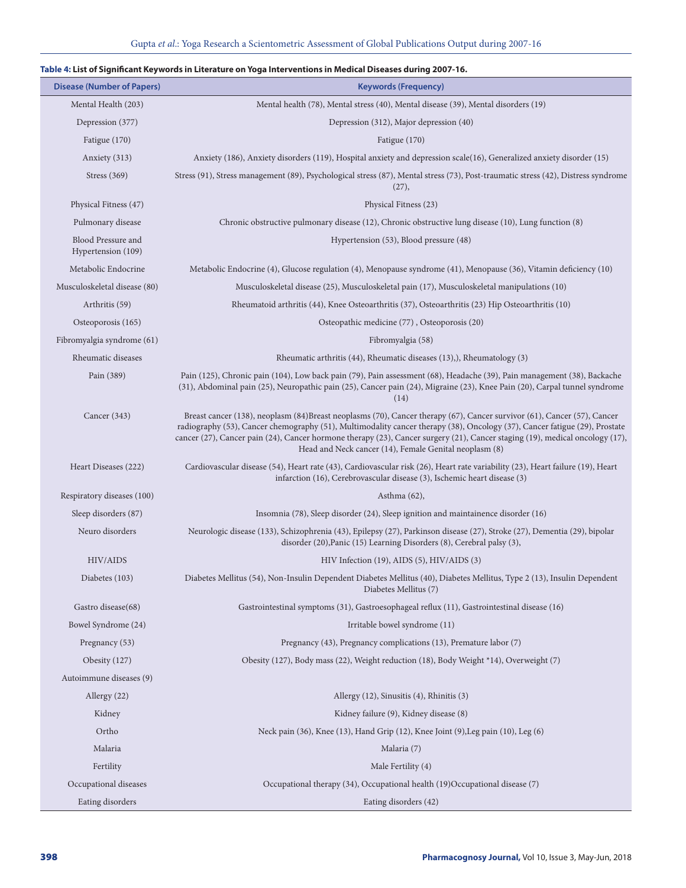# **Table 4: List of Significant Keywords in Literature on Yoga Interventions in Medical Diseases during 2007-16.**

| <b>Disease (Number of Papers)</b>        | <b>Keywords (Frequency)</b>                                                                                                                                                                                                                                                                                                                                                                                                                     |
|------------------------------------------|-------------------------------------------------------------------------------------------------------------------------------------------------------------------------------------------------------------------------------------------------------------------------------------------------------------------------------------------------------------------------------------------------------------------------------------------------|
| Mental Health (203)                      | Mental health (78), Mental stress (40), Mental disease (39), Mental disorders (19)                                                                                                                                                                                                                                                                                                                                                              |
| Depression (377)                         | Depression (312), Major depression (40)                                                                                                                                                                                                                                                                                                                                                                                                         |
| Fatigue (170)                            | Fatigue (170)                                                                                                                                                                                                                                                                                                                                                                                                                                   |
| Anxiety (313)                            | Anxiety (186), Anxiety disorders (119), Hospital anxiety and depression scale(16), Generalized anxiety disorder (15)                                                                                                                                                                                                                                                                                                                            |
| Stress (369)                             | Stress (91), Stress management (89), Psychological stress (87), Mental stress (73), Post-traumatic stress (42), Distress syndrome<br>(27),                                                                                                                                                                                                                                                                                                      |
| Physical Fitness (47)                    | Physical Fitness (23)                                                                                                                                                                                                                                                                                                                                                                                                                           |
| Pulmonary disease                        | Chronic obstructive pulmonary disease (12), Chronic obstructive lung disease (10), Lung function (8)                                                                                                                                                                                                                                                                                                                                            |
| Blood Pressure and<br>Hypertension (109) | Hypertension (53), Blood pressure (48)                                                                                                                                                                                                                                                                                                                                                                                                          |
| Metabolic Endocrine                      | Metabolic Endocrine (4), Glucose regulation (4), Menopause syndrome (41), Menopause (36), Vitamin deficiency (10)                                                                                                                                                                                                                                                                                                                               |
| Musculoskeletal disease (80)             | Musculoskeletal disease (25), Musculoskeletal pain (17), Musculoskeletal manipulations (10)                                                                                                                                                                                                                                                                                                                                                     |
| Arthritis (59)                           | Rheumatoid arthritis (44), Knee Osteoarthritis (37), Osteoarthritis (23) Hip Osteoarthritis (10)                                                                                                                                                                                                                                                                                                                                                |
| Osteoporosis (165)                       | Osteopathic medicine (77), Osteoporosis (20)                                                                                                                                                                                                                                                                                                                                                                                                    |
| Fibromyalgia syndrome (61)               | Fibromyalgia (58)                                                                                                                                                                                                                                                                                                                                                                                                                               |
| Rheumatic diseases                       | Rheumatic arthritis (44), Rheumatic diseases (13),), Rheumatology (3)                                                                                                                                                                                                                                                                                                                                                                           |
| Pain (389)                               | Pain (125), Chronic pain (104), Low back pain (79), Pain assessment (68), Headache (39), Pain management (38), Backache<br>(31), Abdominal pain (25), Neuropathic pain (25), Cancer pain (24), Migraine (23), Knee Pain (20), Carpal tunnel syndrome<br>(14)                                                                                                                                                                                    |
| Cancer (343)                             | Breast cancer (138), neoplasm (84)Breast neoplasms (70), Cancer therapy (67), Cancer survivor (61), Cancer (57), Cancer<br>radiography (53), Cancer chemography (51), Multimodality cancer therapy (38), Oncology (37), Cancer fatigue (29), Prostate<br>cancer (27), Cancer pain (24), Cancer hormone therapy (23), Cancer surgery (21), Cancer staging (19), medical oncology (17),<br>Head and Neck cancer (14), Female Genital neoplasm (8) |
| Heart Diseases (222)                     | Cardiovascular disease (54), Heart rate (43), Cardiovascular risk (26), Heart rate variability (23), Heart failure (19), Heart<br>infarction (16), Cerebrovascular disease (3), Ischemic heart disease (3)                                                                                                                                                                                                                                      |
| Respiratory diseases (100)               | Asthma $(62)$ ,                                                                                                                                                                                                                                                                                                                                                                                                                                 |
| Sleep disorders (87)                     | Insomnia (78), Sleep disorder (24), Sleep ignition and maintainence disorder (16)                                                                                                                                                                                                                                                                                                                                                               |
| Neuro disorders                          | Neurologic disease (133), Schizophrenia (43), Epilepsy (27), Parkinson disease (27), Stroke (27), Dementia (29), bipolar<br>disorder (20), Panic (15) Learning Disorders (8), Cerebral palsy (3),                                                                                                                                                                                                                                               |
| <b>HIV/AIDS</b>                          | $HIV$ Infection (19), AIDS (5), $HIV/AIDS(3)$                                                                                                                                                                                                                                                                                                                                                                                                   |
| Diabetes (103)                           | Diabetes Mellitus (54), Non-Insulin Dependent Diabetes Mellitus (40), Diabetes Mellitus, Type 2 (13), Insulin Dependent<br>Diabetes Mellitus (7)                                                                                                                                                                                                                                                                                                |
| Gastro disease(68)                       | Gastrointestinal symptoms (31), Gastroesophageal reflux (11), Gastrointestinal disease (16)                                                                                                                                                                                                                                                                                                                                                     |
| Bowel Syndrome (24)                      | Irritable bowel syndrome (11)                                                                                                                                                                                                                                                                                                                                                                                                                   |
| Pregnancy (53)                           | Pregnancy (43), Pregnancy complications (13), Premature labor (7)                                                                                                                                                                                                                                                                                                                                                                               |
| Obesity (127)                            | Obesity (127), Body mass (22), Weight reduction (18), Body Weight *14), Overweight (7)                                                                                                                                                                                                                                                                                                                                                          |
| Autoimmune diseases (9)                  |                                                                                                                                                                                                                                                                                                                                                                                                                                                 |
| Allergy (22)                             | Allergy (12), Sinusitis (4), Rhinitis (3)                                                                                                                                                                                                                                                                                                                                                                                                       |
| Kidney                                   | Kidney failure (9), Kidney disease (8)                                                                                                                                                                                                                                                                                                                                                                                                          |
| Ortho                                    | Neck pain (36), Knee (13), Hand Grip (12), Knee Joint (9), Leg pain (10), Leg (6)                                                                                                                                                                                                                                                                                                                                                               |
| Malaria                                  | Malaria (7)                                                                                                                                                                                                                                                                                                                                                                                                                                     |
| Fertility                                | Male Fertility (4)                                                                                                                                                                                                                                                                                                                                                                                                                              |
| Occupational diseases                    | Occupational therapy (34), Occupational health (19)Occupational disease (7)                                                                                                                                                                                                                                                                                                                                                                     |
| Eating disorders                         | Eating disorders (42)                                                                                                                                                                                                                                                                                                                                                                                                                           |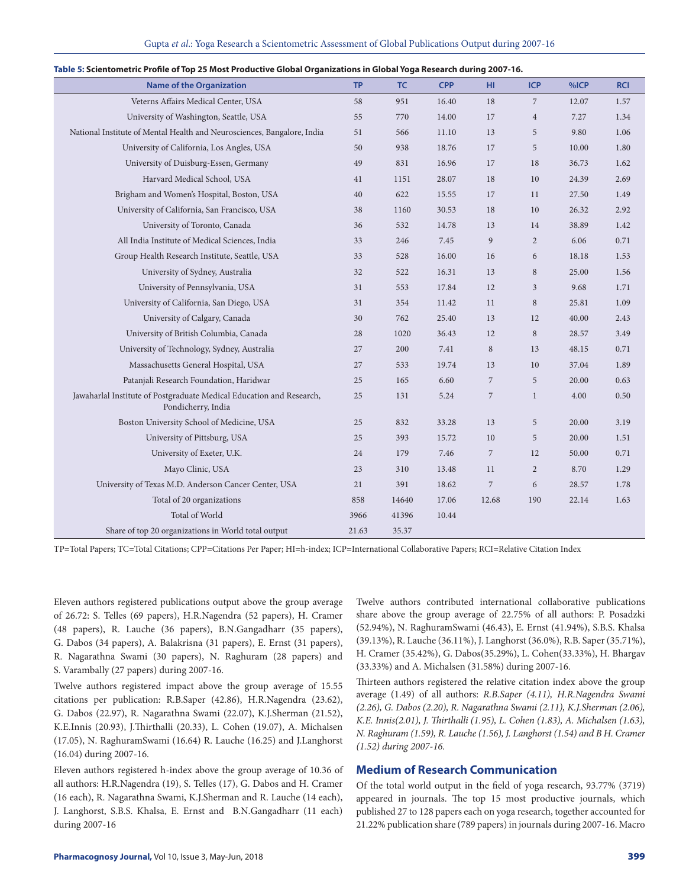| Gupta et al.: Yoga Research a Scientometric Assessment of Global Publications Output during 2007-16 |  |  |  |
|-----------------------------------------------------------------------------------------------------|--|--|--|
|-----------------------------------------------------------------------------------------------------|--|--|--|

| <b>Name of the Organization</b>                                                            | <b>TP</b> | <b>TC</b> | <b>CPP</b> | HI             | <b>ICP</b>     | %ICP  | <b>RCI</b> |
|--------------------------------------------------------------------------------------------|-----------|-----------|------------|----------------|----------------|-------|------------|
| Veterns Affairs Medical Center, USA                                                        | 58        | 951       | 16.40      | $18\,$         | 7              | 12.07 | 1.57       |
| University of Washington, Seattle, USA                                                     | 55        | 770       | 14.00      | 17             | $\overline{4}$ | 7.27  | 1.34       |
| National Institute of Mental Health and Neurosciences, Bangalore, India                    | 51        | 566       | 11.10      | 13             | 5              | 9.80  | 1.06       |
| University of California, Los Angles, USA                                                  | 50        | 938       | 18.76      | 17             | 5              | 10.00 | 1.80       |
| University of Duisburg-Essen, Germany                                                      | 49        | 831       | 16.96      | 17             | 18             | 36.73 | 1.62       |
| Harvard Medical School, USA                                                                | 41        | 1151      | 28.07      | 18             | 10             | 24.39 | 2.69       |
| Brigham and Women's Hospital, Boston, USA                                                  | 40        | 622       | 15.55      | 17             | 11             | 27.50 | 1.49       |
| University of California, San Francisco, USA                                               | 38        | 1160      | 30.53      | 18             | 10             | 26.32 | 2.92       |
| University of Toronto, Canada                                                              | 36        | 532       | 14.78      | 13             | 14             | 38.89 | 1.42       |
| All India Institute of Medical Sciences, India                                             | 33        | 246       | 7.45       | 9              | $\overline{2}$ | 6.06  | 0.71       |
| Group Health Research Institute, Seattle, USA                                              | 33        | 528       | 16.00      | 16             | 6              | 18.18 | 1.53       |
| University of Sydney, Australia                                                            | 32        | 522       | 16.31      | 13             | 8              | 25.00 | 1.56       |
| University of Pennsylvania, USA                                                            | 31        | 553       | 17.84      | 12             | 3              | 9.68  | 1.71       |
| University of California, San Diego, USA                                                   | 31        | 354       | 11.42      | 11             | $\,8\,$        | 25.81 | 1.09       |
| University of Calgary, Canada                                                              | 30        | 762       | 25.40      | 13             | 12             | 40.00 | 2.43       |
| University of British Columbia, Canada                                                     | 28        | 1020      | 36.43      | 12             | $\,8\,$        | 28.57 | 3.49       |
| University of Technology, Sydney, Australia                                                | 27        | 200       | 7.41       | $\,8\,$        | 13             | 48.15 | 0.71       |
| Massachusetts General Hospital, USA                                                        | 27        | 533       | 19.74      | 13             | 10             | 37.04 | 1.89       |
| Patanjali Research Foundation, Haridwar                                                    | 25        | 165       | 6.60       | $\overline{7}$ | 5              | 20.00 | 0.63       |
| Jawaharlal Institute of Postgraduate Medical Education and Research,<br>Pondicherry, India | 25        | 131       | 5.24       | 7              | $\mathbf{1}$   | 4.00  | 0.50       |
| Boston University School of Medicine, USA                                                  | 25        | 832       | 33.28      | 13             | $\sqrt{5}$     | 20.00 | 3.19       |
| University of Pittsburg, USA                                                               | 25        | 393       | 15.72      | 10             | 5              | 20.00 | 1.51       |
| University of Exeter, U.K.                                                                 | 24        | 179       | 7.46       | 7              | 12             | 50.00 | 0.71       |
| Mayo Clinic, USA                                                                           | 23        | 310       | 13.48      | 11             | 2              | 8.70  | 1.29       |
| University of Texas M.D. Anderson Cancer Center, USA                                       | 21        | 391       | 18.62      | 7              | 6              | 28.57 | 1.78       |
| Total of 20 organizations                                                                  | 858       | 14640     | 17.06      | 12.68          | 190            | 22.14 | 1.63       |
| Total of World                                                                             | 3966      | 41396     | 10.44      |                |                |       |            |
| Share of top 20 organizations in World total output                                        | 21.63     | 35.37     |            |                |                |       |            |

| Table 5: Scientometric Profile of Top 25 Most Productive Global Organizations in Global Yoga Research during 2007-16. |  |  |
|-----------------------------------------------------------------------------------------------------------------------|--|--|
|                                                                                                                       |  |  |
|                                                                                                                       |  |  |

TP=Total Papers; TC=Total Citations; CPP=Citations Per Paper; HI=h-index; ICP=International Collaborative Papers; RCI=Relative Citation Index

Eleven authors registered publications output above the group average of 26.72: S. Telles (69 papers), H.R.Nagendra (52 papers), H. Cramer (48 papers), R. Lauche (36 papers), B.N.Gangadharr (35 papers), G. Dabos (34 papers), A. Balakrisna (31 papers), E. Ernst (31 papers), R. Nagarathna Swami (30 papers), N. Raghuram (28 papers) and S. Varambally (27 papers) during 2007-16.

Twelve authors registered impact above the group average of 15.55 citations per publication: R.B.Saper (42.86), H.R.Nagendra (23.62), G. Dabos (22.97), R. Nagarathna Swami (22.07), K.J.Sherman (21.52), K.E.Innis (20.93), J.Thirthalli (20.33), L. Cohen (19.07), A. Michalsen (17.05), N. RaghuramSwami (16.64) R. Lauche (16.25) and J.Langhorst (16.04) during 2007-16.

Eleven authors registered h-index above the group average of 10.36 of all authors: H.R.Nagendra (19), S. Telles (17), G. Dabos and H. Cramer (16 each), R. Nagarathna Swami, K.J.Sherman and R. Lauche (14 each), J. Langhorst, S.B.S. Khalsa, E. Ernst and B.N.Gangadharr (11 each) during 2007-16

Twelve authors contributed international collaborative publications share above the group average of 22.75% of all authors: P. Posadzki (52.94%), N. RaghuramSwami (46.43), E. Ernst (41.94%), S.B.S. Khalsa (39.13%), R. Lauche (36.11%), J. Langhorst (36.0%), R.B. Saper (35.71%), H. Cramer (35.42%), G. Dabos(35.29%), L. Cohen(33.33%), H. Bhargav (33.33%) and A. Michalsen (31.58%) during 2007-16.

Thirteen authors registered the relative citation index above the group average (1.49) of all authors: *R.B.Saper (4.11), H.R.Nagendra Swami (2.26), G. Dabos (2.20), R. Nagarathna Swami (2.11), K.J.Sherman (2.06), K.E. Innis(2.01), J. Thirthalli (1.95), L. Cohen (1.83), A. Michalsen (1.63), N. Raghuram (1.59), R. Lauche (1.56), J. Langhorst (1.54) and B H. Cramer (1.52) during 2007-16.*

## **Medium of Research Communication**

Of the total world output in the field of yoga research, 93.77% (3719) appeared in journals. The top 15 most productive journals, which published 27 to 128 papers each on yoga research, together accounted for 21.22% publication share (789 papers) in journals during 2007-16. Macro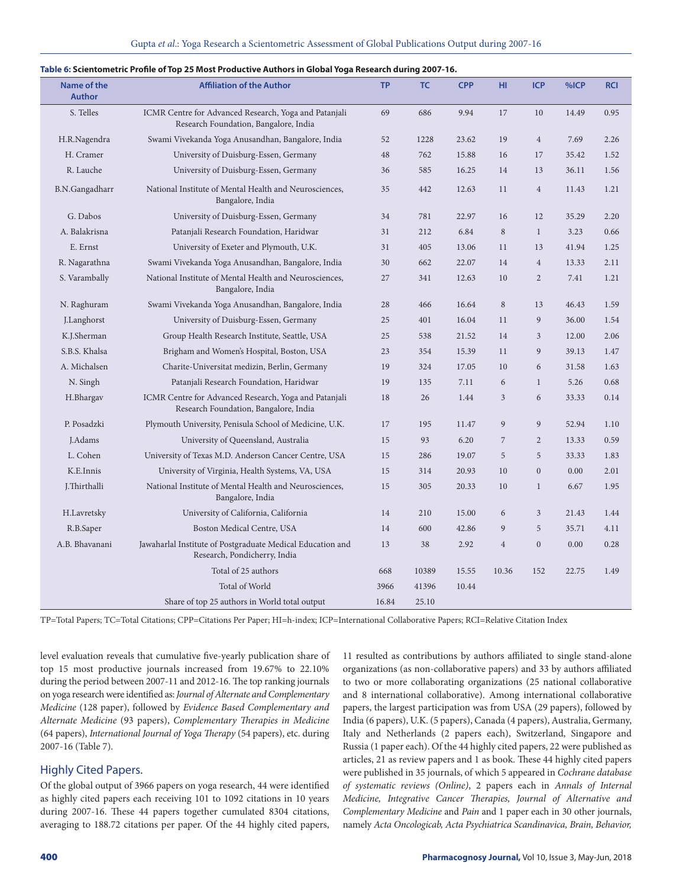| Name of the<br><b>Author</b> | <b>Affiliation of the Author</b>                                                               | <b>TP</b> | <b>TC</b> | <b>CPP</b> | HI             | <b>ICP</b>       | %ICP  | <b>RCI</b> |
|------------------------------|------------------------------------------------------------------------------------------------|-----------|-----------|------------|----------------|------------------|-------|------------|
| S. Telles                    | ICMR Centre for Advanced Research, Yoga and Patanjali<br>Research Foundation, Bangalore, India | 69        | 686       | 9.94       | 17             | 10               | 14.49 | 0.95       |
| H.R.Nagendra                 | Swami Vivekanda Yoga Anusandhan, Bangalore, India                                              | 52        | 1228      | 23.62      | 19             | $\overline{4}$   | 7.69  | 2.26       |
| H. Cramer                    | University of Duisburg-Essen, Germany                                                          | 48        | 762       | 15.88      | 16             | 17               | 35.42 | 1.52       |
| R. Lauche                    | University of Duisburg-Essen, Germany                                                          | 36        | 585       | 16.25      | 14             | 13               | 36.11 | 1.56       |
| B.N.Gangadharr               | National Institute of Mental Health and Neurosciences,<br>Bangalore, India                     | 35        | 442       | 12.63      | 11             | $\overline{4}$   | 11.43 | 1.21       |
| G. Dabos                     | University of Duisburg-Essen, Germany                                                          | 34        | 781       | 22.97      | 16             | 12               | 35.29 | 2.20       |
| A. Balakrisna                | Patanjali Research Foundation, Haridwar                                                        | 31        | 212       | 6.84       | $\,$ 8 $\,$    | $\mathbf{1}$     | 3.23  | 0.66       |
| E. Ernst                     | University of Exeter and Plymouth, U.K.                                                        | 31        | 405       | 13.06      | 11             | 13               | 41.94 | 1.25       |
| R. Nagarathna                | Swami Vivekanda Yoga Anusandhan, Bangalore, India                                              | 30        | 662       | 22.07      | 14             | $\overline{4}$   | 13.33 | 2.11       |
| S. Varambally                | National Institute of Mental Health and Neurosciences,<br>Bangalore, India                     | 27        | 341       | 12.63      | 10             | $\overline{2}$   | 7.41  | 1.21       |
| N. Raghuram                  | Swami Vivekanda Yoga Anusandhan, Bangalore, India                                              | 28        | 466       | 16.64      | $\,$ 8 $\,$    | 13               | 46.43 | 1.59       |
| J.Langhorst                  | University of Duisburg-Essen, Germany                                                          | 25        | 401       | 16.04      | 11             | 9                | 36.00 | 1.54       |
| K.J.Sherman                  | Group Health Research Institute, Seattle, USA                                                  | 25        | 538       | 21.52      | 14             | 3                | 12.00 | 2.06       |
| S.B.S. Khalsa                | Brigham and Women's Hospital, Boston, USA                                                      | 23        | 354       | 15.39      | 11             | 9                | 39.13 | 1.47       |
| A. Michalsen                 | Charite-Universitat medizin, Berlin, Germany                                                   | 19        | 324       | 17.05      | 10             | 6                | 31.58 | 1.63       |
| N. Singh                     | Patanjali Research Foundation, Haridwar                                                        | 19        | 135       | 7.11       | 6              | $\mathbf{1}$     | 5.26  | 0.68       |
| H.Bhargav                    | ICMR Centre for Advanced Research, Yoga and Patanjali<br>Research Foundation, Bangalore, India | 18        | 26        | 1.44       | 3              | 6                | 33.33 | 0.14       |
| P. Posadzki                  | Plymouth University, Penisula School of Medicine, U.K.                                         | 17        | 195       | 11.47      | 9              | 9                | 52.94 | 1.10       |
| J.Adams                      | University of Queensland, Australia                                                            | 15        | 93        | 6.20       | $\overline{7}$ | $\overline{2}$   | 13.33 | 0.59       |
| L. Cohen                     | University of Texas M.D. Anderson Cancer Centre, USA                                           | 15        | 286       | 19.07      | 5              | 5                | 33.33 | 1.83       |
| K.E.Innis                    | University of Virginia, Health Systems, VA, USA                                                | 15        | 314       | 20.93      | 10             | $\boldsymbol{0}$ | 0.00  | 2.01       |
| J.Thirthalli                 | National Institute of Mental Health and Neurosciences,<br>Bangalore, India                     | 15        | 305       | 20.33      | 10             | $\mathbf{1}$     | 6.67  | 1.95       |
| H.Lavretsky                  | University of California, California                                                           | 14        | 210       | 15.00      | 6              | 3                | 21.43 | 1.44       |
| R.B.Saper                    | Boston Medical Centre, USA                                                                     | 14        | 600       | 42.86      | 9              | 5                | 35.71 | 4.11       |
| A.B. Bhavanani               | Jawaharlal Institute of Postgraduate Medical Education and<br>Research, Pondicherry, India     | 13        | 38        | 2.92       | $\overline{4}$ | $\mathbf{0}$     | 0.00  | 0.28       |
|                              | Total of 25 authors                                                                            | 668       | 10389     | 15.55      | 10.36          | 152              | 22.75 | 1.49       |
|                              | Total of World                                                                                 | 3966      | 41396     | 10.44      |                |                  |       |            |
|                              | Share of top 25 authors in World total output                                                  | 16.84     | 25.10     |            |                |                  |       |            |

#### **Table 6: Scientometric Profile of Top 25 Most Productive Authors in Global Yoga Research during 2007-16.**

TP=Total Papers; TC=Total Citations; CPP=Citations Per Paper; HI=h-index; ICP=International Collaborative Papers; RCI=Relative Citation Index

level evaluation reveals that cumulative five-yearly publication share of top 15 most productive journals increased from 19.67% to 22.10% during the period between 2007-11 and 2012-16. The top ranking journals on yoga research were identified as: *Journal of Alternate and Complementary Medicine* (128 paper), followed by *Evidence Based Complementary and Alternate Medicine* (93 papers), *Complementary Therapies in Medicine* (64 papers), *International Journal of Yoga Therapy* (54 papers), etc. during 2007-16 (Table 7).

## Highly Cited Papers.

Of the global output of 3966 papers on yoga research, 44 were identified as highly cited papers each receiving 101 to 1092 citations in 10 years during 2007-16. These 44 papers together cumulated 8304 citations, averaging to 188.72 citations per paper. Of the 44 highly cited papers, 11 resulted as contributions by authors affiliated to single stand-alone organizations (as non-collaborative papers) and 33 by authors affiliated to two or more collaborating organizations (25 national collaborative and 8 international collaborative). Among international collaborative papers, the largest participation was from USA (29 papers), followed by India (6 papers), U.K. (5 papers), Canada (4 papers), Australia, Germany, Italy and Netherlands (2 papers each), Switzerland, Singapore and Russia (1 paper each). Of the 44 highly cited papers, 22 were published as articles, 21 as review papers and 1 as book. These 44 highly cited papers were published in 35 journals, of which 5 appeared in *Cochrane database of systematic reviews (Online)*, 2 papers each in *Annals of Internal Medicine, Integrative Cancer Therapies, Journal of Alternative and Complementary Medicine* and *Pain* and 1 paper each in 30 other journals, namely *Acta Oncologicab, Acta Psychiatrica Scandinavica, Brain, Behavior,*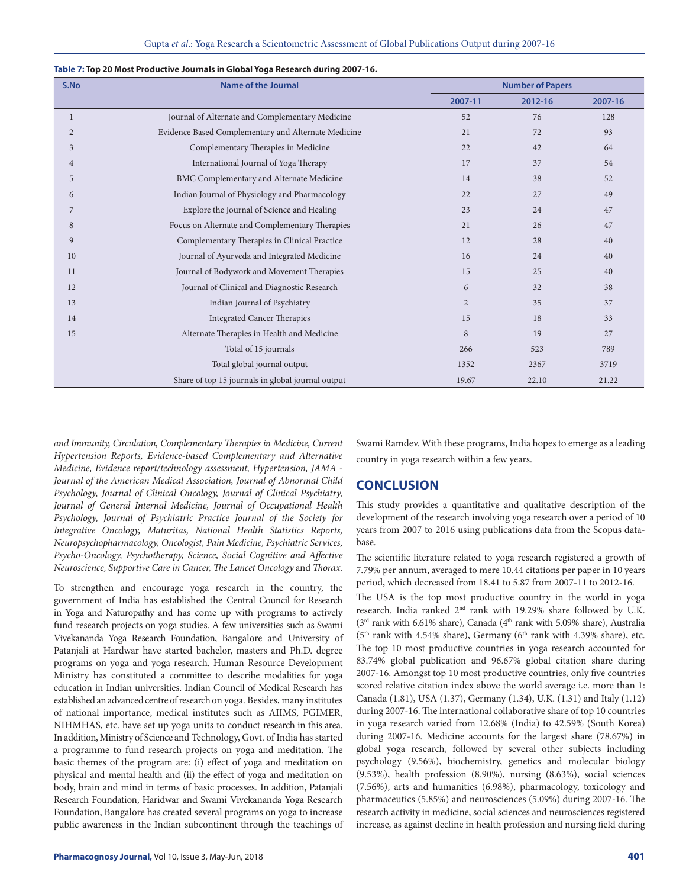| S.No           | <b>Name of the Journal</b>                          | <b>Number of Papers</b> |         |         |  |  |  |
|----------------|-----------------------------------------------------|-------------------------|---------|---------|--|--|--|
|                |                                                     | 2007-11                 | 2012-16 | 2007-16 |  |  |  |
| 1              | Journal of Alternate and Complementary Medicine     | 52                      | 76      | 128     |  |  |  |
| $\overline{2}$ | Evidence Based Complementary and Alternate Medicine | 21                      | 72      | 93      |  |  |  |
| 3              | Complementary Therapies in Medicine                 | 22                      | 42      | 64      |  |  |  |
| $\overline{4}$ | International Journal of Yoga Therapy               | 17                      | 37      | 54      |  |  |  |
| 5              | BMC Complementary and Alternate Medicine            | 14                      | 38      | 52      |  |  |  |
| 6              | Indian Journal of Physiology and Pharmacology       | 22                      | 27      | 49      |  |  |  |
| 7              | Explore the Journal of Science and Healing          | 23                      | 24      | 47      |  |  |  |
| 8              | Focus on Alternate and Complementary Therapies      | 21                      | 26      | 47      |  |  |  |
| 9              | Complementary Therapies in Clinical Practice        | 12                      | 28      | 40      |  |  |  |
| 10             | Journal of Ayurveda and Integrated Medicine         | 16                      | 24      | 40      |  |  |  |
| 11             | Journal of Bodywork and Movement Therapies          | 15                      | 25      | 40      |  |  |  |
| 12             | Journal of Clinical and Diagnostic Research         | 6                       | 32      | 38      |  |  |  |
| 13             | Indian Journal of Psychiatry                        | 2                       | 35      | 37      |  |  |  |
| 14             | <b>Integrated Cancer Therapies</b>                  | 15                      | 18      | 33      |  |  |  |
| 15             | Alternate Therapies in Health and Medicine          | $\,8\,$                 | 19      | 27      |  |  |  |
|                | Total of 15 journals                                | 266                     | 523     | 789     |  |  |  |
|                | Total global journal output                         | 1352                    | 2367    | 3719    |  |  |  |
|                | Share of top 15 journals in global journal output   | 19.67                   | 22.10   | 21.22   |  |  |  |

#### **Table 7: Top 20 Most Productive Journals in Global Yoga Research during 2007-16.**

*and Immunity, Circulation, Complementary Therapies in Medicine, Current Hypertension Reports, Evidence-based Complementary and Alternative Medicine, Evidence report/technology assessment, Hypertension, JAMA - Journal of the American Medical Association, Journal of Abnormal Child Psychology, Journal of Clinical Oncology, Journal of Clinical Psychiatry, Journal of General Internal Medicine, Journal of Occupational Health Psychology, Journal of Psychiatric Practice Journal of the Society for Integrative Oncology, Maturitas, National Health Statistics Reports, Neuropsychopharmacology, Oncologist, Pain Medicine, Psychiatric Services, Psycho-Oncology, Psychotherapy, Science, Social Cognitive and Affective Neuroscience, Supportive Care in Cancer, The Lancet Oncology* and *Thorax.*

To strengthen and encourage yoga research in the country, the government of India has established the Central Council for Research in Yoga and Naturopathy and has come up with programs to actively fund research projects on yoga studies. A few universities such as Swami Vivekananda Yoga Research Foundation, Bangalore and University of Patanjali at Hardwar have started bachelor, masters and Ph.D. degree programs on yoga and yoga research. Human Resource Development Ministry has constituted a committee to describe modalities for yoga education in Indian universities. Indian Council of Medical Research has established an advanced centre of research on yoga. Besides, many institutes of national importance, medical institutes such as AIIMS, PGIMER, NIHMHAS, etc. have set up yoga units to conduct research in this area. In addition, Ministry of Science and Technology, Govt. of India has started a programme to fund research projects on yoga and meditation. The basic themes of the program are: (i) effect of yoga and meditation on physical and mental health and (ii) the effect of yoga and meditation on body, brain and mind in terms of basic processes. In addition, Patanjali Research Foundation, Haridwar and Swami Vivekananda Yoga Research Foundation, Bangalore has created several programs on yoga to increase public awareness in the Indian subcontinent through the teachings of

Swami Ramdev. With these programs, India hopes to emerge as a leading country in yoga research within a few years.

# **CONCLUSION**

This study provides a quantitative and qualitative description of the development of the research involving yoga research over a period of 10 years from 2007 to 2016 using publications data from the Scopus database.

The scientific literature related to yoga research registered a growth of 7.79% per annum, averaged to mere 10.44 citations per paper in 10 years period, which decreased from 18.41 to 5.87 from 2007-11 to 2012-16.

The USA is the top most productive country in the world in yoga research. India ranked 2nd rank with 19.29% share followed by U.K. ( $3<sup>rd</sup>$  rank with 6.61% share), Canada ( $4<sup>th</sup>$  rank with 5.09% share), Australia  $(5<sup>th</sup>$  rank with 4.54% share), Germany ( $6<sup>th</sup>$  rank with 4.39% share), etc. The top 10 most productive countries in yoga research accounted for 83.74% global publication and 96.67% global citation share during 2007-16. Amongst top 10 most productive countries, only five countries scored relative citation index above the world average i.e. more than 1: Canada (1.81), USA (1.37), Germany (1.34), U.K. (1.31) and Italy (1.12) during 2007-16. The international collaborative share of top 10 countries in yoga research varied from 12.68% (India) to 42.59% (South Korea) during 2007-16. Medicine accounts for the largest share (78.67%) in global yoga research, followed by several other subjects including psychology (9.56%), biochemistry, genetics and molecular biology (9.53%), health profession (8.90%), nursing (8.63%), social sciences (7.56%), arts and humanities (6.98%), pharmacology, toxicology and pharmaceutics (5.85%) and neurosciences (5.09%) during 2007-16. The research activity in medicine, social sciences and neurosciences registered increase, as against decline in health profession and nursing field during